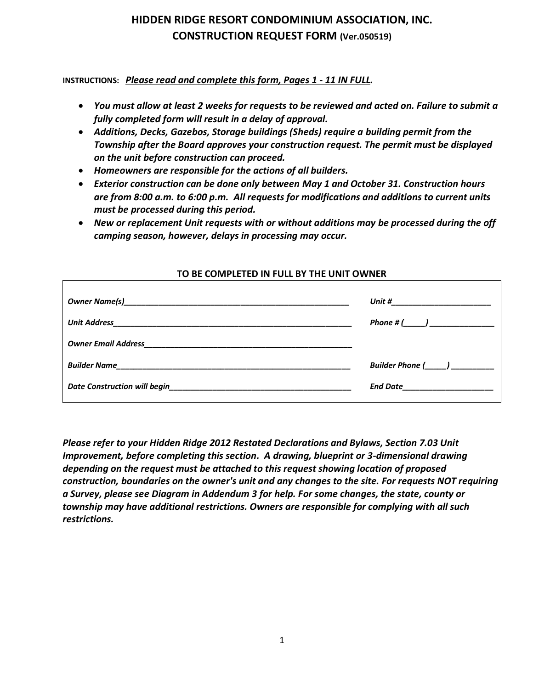### **HIDDEN RIDGE RESORT CONDOMINIUM ASSOCIATION, INC. CONSTRUCTION REQUEST FORM (Ver.050519)**

**INSTRUCTIONS:** *Please read and complete this form, Pages 1 - 11 IN FULL.* 

- *You must allow at least 2 weeks for requests to be reviewed and acted on. Failure to submit a fully completed form will result in a delay of approval.*
- *Additions, Decks, Gazebos, Storage buildings (Sheds) require a building permit from the Township after the Board approves your construction request. The permit must be displayed on the unit before construction can proceed.*
- *Homeowners are responsible for the actions of all builders.*
- *Exterior construction can be done only between May 1 and October 31. Construction hours are from 8:00 a.m. to 6:00 p.m. All requests for modifications and additions to current units must be processed during this period.*
- *New or replacement Unit requests with or without additions may be processed during the off camping season, however, delays in processing may occur.*

# *Owner Name(s)\_\_\_\_\_\_\_\_\_\_\_\_\_\_\_\_\_\_\_\_\_\_\_\_\_\_\_\_\_\_\_\_\_\_\_\_\_\_\_\_\_\_\_\_\_\_\_\_\_\_\_\_ Unit #\_\_\_\_\_\_\_\_\_\_\_\_\_\_\_\_\_\_\_\_\_\_\_ Unit Address\_\_\_\_\_\_\_\_\_\_\_\_\_\_\_\_\_\_\_\_\_\_\_\_\_\_\_\_\_\_\_\_\_\_\_\_\_\_\_\_\_\_\_\_\_\_\_\_\_\_\_\_\_\_\_ Phone # (\_\_\_\_\_) \_\_\_\_\_\_\_\_\_\_\_\_\_\_\_ Owner Email Address\_\_\_\_\_\_\_\_\_\_\_\_\_\_\_\_\_\_\_\_\_\_\_\_\_\_\_\_\_\_\_\_\_\_\_\_\_\_\_\_\_\_\_\_\_\_\_\_ Builder Name\_\_\_\_\_\_\_\_\_\_\_\_\_\_\_\_\_\_\_\_\_\_\_\_\_\_\_\_\_\_\_\_\_\_\_\_\_\_\_\_\_\_\_\_\_\_\_\_\_\_\_\_\_\_ Builder Phone (\_\_\_\_\_) \_\_\_\_\_\_\_\_\_\_ Date Construction will begin\_\_\_\_\_\_\_\_\_\_\_\_\_\_\_\_\_\_\_\_\_\_\_\_\_\_\_\_\_\_\_\_\_\_\_\_\_\_\_\_\_\_ End Date\_\_\_\_\_\_\_\_\_\_\_\_\_\_\_\_\_\_\_\_\_*

#### **TO BE COMPLETED IN FULL BY THE UNIT OWNER**

*Please refer to your Hidden Ridge 2012 Restated Declarations and Bylaws, Section 7.03 Unit Improvement, before completing this section. A drawing, blueprint or 3-dimensional drawing depending on the request must be attached to this request showing location of proposed construction, boundaries on the owner's unit and any changes to the site. For requests NOT requiring a Survey, please see Diagram in Addendum 3 for help. For some changes, the state, county or township may have additional restrictions. Owners are responsible for complying with all such restrictions.*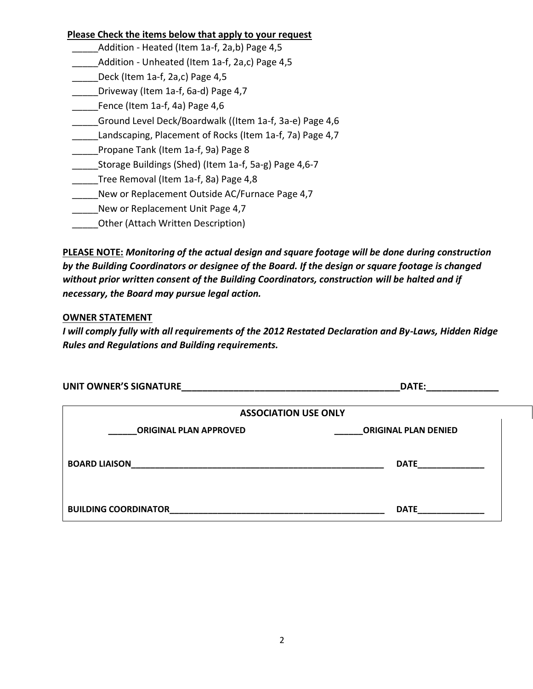#### **Please Check the items below that apply to your request**

- Addition Heated (Item 1a-f, 2a,b) Page 4,5
- Addition Unheated (Item 1a-f, 2a,c) Page 4,5
- \_\_\_\_\_Deck (Item 1a-f, 2a,c) Page 4,5
- \_\_\_\_\_Driveway (Item 1a-f, 6a-d) Page 4,7
- Fence (Item 1a-f, 4a) Page 4,6
- \_\_\_\_\_Ground Level Deck/Boardwalk ((Item 1a-f, 3a-e) Page 4,6
- Landscaping, Placement of Rocks (Item 1a-f, 7a) Page 4,7
- \_\_\_\_\_Propane Tank (Item 1a-f, 9a) Page 8
- \_\_\_\_\_Storage Buildings (Shed) (Item 1a-f, 5a-g) Page 4,6-7
- \_\_\_\_Tree Removal (Item 1a-f, 8a) Page 4,8
- New or Replacement Outside AC/Furnace Page 4,7
- New or Replacement Unit Page 4,7
- \_\_\_\_\_Other (Attach Written Description)

**PLEASE NOTE:** *Monitoring of the actual design and square footage will be done during construction by the Building Coordinators or designee of the Board. If the design or square footage is changed without prior written consent of the Building Coordinators, construction will be halted and if necessary, the Board may pursue legal action.*

#### **OWNER STATEMENT**

*I will comply fully with all requirements of the 2012 Restated Declaration and By-Laws, Hidden Ridge Rules and Regulations and Building requirements.*

| <b>UNIT OWNER'S SIGNATURE</b> | DATE:                       |
|-------------------------------|-----------------------------|
|                               | <b>ASSOCIATION USE ONLY</b> |
| <b>ORIGINAL PLAN APPROVED</b> | <b>ORIGINAL PLAN DENIED</b> |
| <b>BOARD LIAISON</b>          | <b>DATE</b>                 |
| <b>BUILDING COORDINATOR</b>   | <b>DATE</b>                 |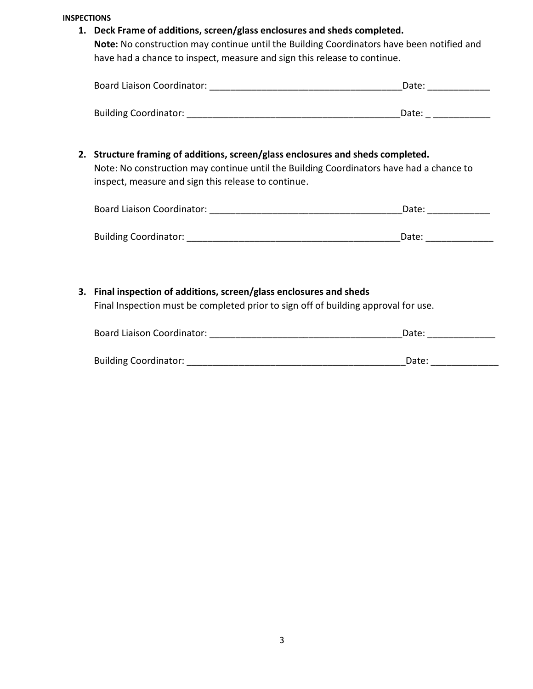**INSPECTIONS**

**1. Deck Frame of additions, screen/glass enclosures and sheds completed.**

**Note:** No construction may continue until the Building Coordinators have been notified and have had a chance to inspect, measure and sign this release to continue.

| <b>Board Liaison Coordinator:</b> | Date: |  |
|-----------------------------------|-------|--|
|                                   |       |  |

| <b>Building Coordinator:</b> |  |
|------------------------------|--|
|                              |  |

**2. Structure framing of additions, screen/glass enclosures and sheds completed.**

Note: No construction may continue until the Building Coordinators have had a chance to inspect, measure and sign this release to continue.

| <b>Board Liaison Coordinator:</b> | Date: |  |
|-----------------------------------|-------|--|
|                                   |       |  |
| <b>Building Coordinator:</b>      | Date: |  |

# **3. Final inspection of additions, screen/glass enclosures and sheds**

Final Inspection must be completed prior to sign off of building approval for use.

| <b>Board Liaison Coordinator:</b> | Date: |  |
|-----------------------------------|-------|--|
|                                   |       |  |
| <b>Building Coordinator:</b>      | Date: |  |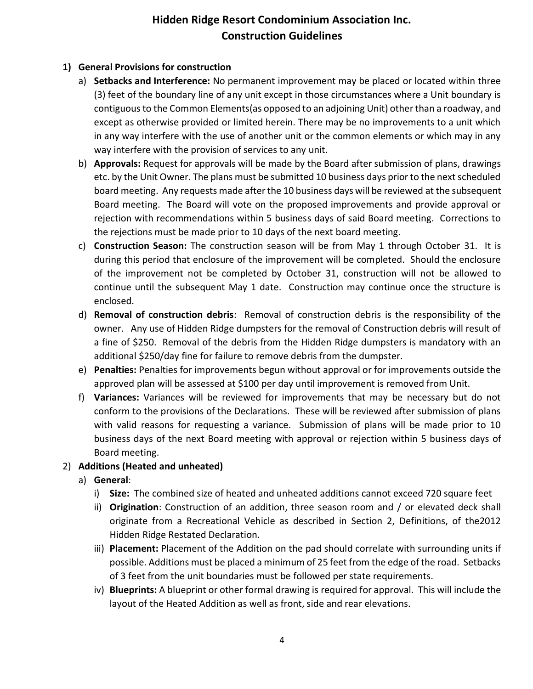## **Hidden Ridge Resort Condominium Association Inc. Construction Guidelines**

#### **1) General Provisions for construction**

- a) **Setbacks and Interference:** No permanent improvement may be placed or located within three (3) feet of the boundary line of any unit except in those circumstances where a Unit boundary is contiguous to the Common Elements(as opposed to an adjoining Unit) other than a roadway, and except as otherwise provided or limited herein. There may be no improvements to a unit which in any way interfere with the use of another unit or the common elements or which may in any way interfere with the provision of services to any unit.
- b) **Approvals:** Request for approvals will be made by the Board after submission of plans, drawings etc. by the Unit Owner. The plans must be submitted 10 business days prior to the next scheduled board meeting. Any requests made after the 10 business days will be reviewed at the subsequent Board meeting. The Board will vote on the proposed improvements and provide approval or rejection with recommendations within 5 business days of said Board meeting. Corrections to the rejections must be made prior to 10 days of the next board meeting.
- c) **Construction Season:** The construction season will be from May 1 through October 31. It is during this period that enclosure of the improvement will be completed. Should the enclosure of the improvement not be completed by October 31, construction will not be allowed to continue until the subsequent May 1 date. Construction may continue once the structure is enclosed.
- d) **Removal of construction debris**: Removal of construction debris is the responsibility of the owner. Any use of Hidden Ridge dumpsters for the removal of Construction debris will result of a fine of \$250. Removal of the debris from the Hidden Ridge dumpsters is mandatory with an additional \$250/day fine for failure to remove debris from the dumpster.
- e) **Penalties:** Penalties for improvements begun without approval or for improvements outside the approved plan will be assessed at \$100 per day until improvement is removed from Unit.
- f) **Variances:** Variances will be reviewed for improvements that may be necessary but do not conform to the provisions of the Declarations. These will be reviewed after submission of plans with valid reasons for requesting a variance. Submission of plans will be made prior to 10 business days of the next Board meeting with approval or rejection within 5 business days of Board meeting.

#### 2) **Additions (Heated and unheated)**

- a) **General**:
	- i) **Size:** The combined size of heated and unheated additions cannot exceed 720 square feet
	- ii) **Origination**: Construction of an addition, three season room and / or elevated deck shall originate from a Recreational Vehicle as described in Section 2, Definitions, of the2012 Hidden Ridge Restated Declaration.
	- iii) **Placement:** Placement of the Addition on the pad should correlate with surrounding units if possible. Additions must be placed a minimum of 25 feet from the edge of the road. Setbacks of 3 feet from the unit boundaries must be followed per state requirements.
	- iv) **Blueprints:** A blueprint or other formal drawing is required for approval. This will include the layout of the Heated Addition as well as front, side and rear elevations.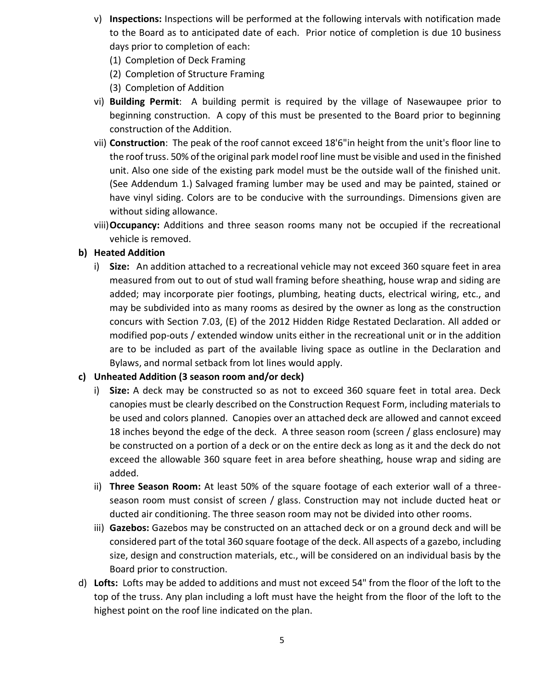- v) **Inspections:** Inspections will be performed at the following intervals with notification made to the Board as to anticipated date of each. Prior notice of completion is due 10 business days prior to completion of each:
	- (1) Completion of Deck Framing
	- (2) Completion of Structure Framing
	- (3) Completion of Addition
- vi) **Building Permit**: A building permit is required by the village of Nasewaupee prior to beginning construction. A copy of this must be presented to the Board prior to beginning construction of the Addition.
- vii) **Construction**: The peak of the roof cannot exceed 18'6"in height from the unit's floor line to the roof truss. 50% of the original park model roof line must be visible and used in the finished unit. Also one side of the existing park model must be the outside wall of the finished unit. (See Addendum 1.) Salvaged framing lumber may be used and may be painted, stained or have vinyl siding. Colors are to be conducive with the surroundings. Dimensions given are without siding allowance.
- viii)**Occupancy:** Additions and three season rooms many not be occupied if the recreational vehicle is removed.

#### **b) Heated Addition**

i) **Size:** An addition attached to a recreational vehicle may not exceed 360 square feet in area measured from out to out of stud wall framing before sheathing, house wrap and siding are added; may incorporate pier footings, plumbing, heating ducts, electrical wiring, etc., and may be subdivided into as many rooms as desired by the owner as long as the construction concurs with Section 7.03, (E) of the 2012 Hidden Ridge Restated Declaration. All added or modified pop-outs / extended window units either in the recreational unit or in the addition are to be included as part of the available living space as outline in the Declaration and Bylaws, and normal setback from lot lines would apply.

#### **c) Unheated Addition (3 season room and/or deck)**

- i) **Size:** A deck may be constructed so as not to exceed 360 square feet in total area. Deck canopies must be clearly described on the Construction Request Form, including materials to be used and colors planned. Canopies over an attached deck are allowed and cannot exceed 18 inches beyond the edge of the deck. A three season room (screen / glass enclosure) may be constructed on a portion of a deck or on the entire deck as long as it and the deck do not exceed the allowable 360 square feet in area before sheathing, house wrap and siding are added.
- ii) **Three Season Room:** At least 50% of the square footage of each exterior wall of a threeseason room must consist of screen / glass. Construction may not include ducted heat or ducted air conditioning. The three season room may not be divided into other rooms.
- iii) **Gazebos:** Gazebos may be constructed on an attached deck or on a ground deck and will be considered part of the total 360 square footage of the deck. All aspects of a gazebo, including size, design and construction materials, etc., will be considered on an individual basis by the Board prior to construction.
- d) **Lofts:** Lofts may be added to additions and must not exceed 54" from the floor of the loft to the top of the truss. Any plan including a loft must have the height from the floor of the loft to the highest point on the roof line indicated on the plan.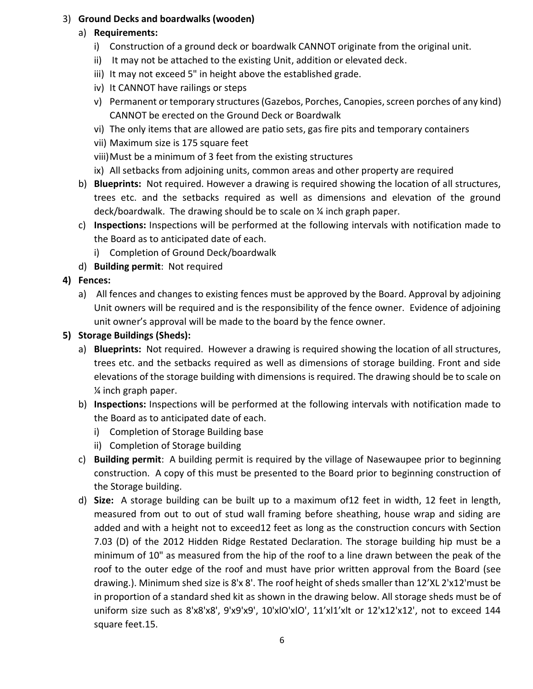#### 3) **Ground Decks and boardwalks (wooden)**

#### a) **Requirements:**

- i) Construction of a ground deck or boardwalk CANNOT originate from the original unit.
- ii) It may not be attached to the existing Unit, addition or elevated deck.
- iii) It may not exceed 5" in height above the established grade.
- iv) It CANNOT have railings or steps
- v) Permanent or temporary structures (Gazebos, Porches, Canopies, screen porches of any kind) CANNOT be erected on the Ground Deck or Boardwalk
- vi) The only items that are allowed are patio sets, gas fire pits and temporary containers
- vii) Maximum size is 175 square feet
- viii)Must be a minimum of 3 feet from the existing structures
- ix) All setbacks from adjoining units, common areas and other property are required
- b) **Blueprints:** Not required. However a drawing is required showing the location of all structures, trees etc. and the setbacks required as well as dimensions and elevation of the ground deck/boardwalk. The drawing should be to scale on ¼ inch graph paper.
- c) **Inspections:** Inspections will be performed at the following intervals with notification made to the Board as to anticipated date of each.
	- i) Completion of Ground Deck/boardwalk
- d) **Building permit**: Not required
- **4) Fences:** 
	- a) All fences and changes to existing fences must be approved by the Board. Approval by adjoining Unit owners will be required and is the responsibility of the fence owner. Evidence of adjoining unit owner's approval will be made to the board by the fence owner.
- **5) Storage Buildings (Sheds):** 
	- a) **Blueprints:** Not required. However a drawing is required showing the location of all structures, trees etc. and the setbacks required as well as dimensions of storage building. Front and side elevations of the storage building with dimensions is required. The drawing should be to scale on ¼ inch graph paper.
	- b) **Inspections:** Inspections will be performed at the following intervals with notification made to the Board as to anticipated date of each.
		- i) Completion of Storage Building base
		- ii) Completion of Storage building
	- c) **Building permit**: A building permit is required by the village of Nasewaupee prior to beginning construction. A copy of this must be presented to the Board prior to beginning construction of the Storage building.
	- d) **Size:** A storage building can be built up to a maximum of12 feet in width, 12 feet in length, measured from out to out of stud wall framing before sheathing, house wrap and siding are added and with a height not to exceed12 feet as long as the construction concurs with Section 7.03 (D) of the 2012 Hidden Ridge Restated Declaration. The storage building hip must be a minimum of 10" as measured from the hip of the roof to a line drawn between the peak of the roof to the outer edge of the roof and must have prior written approval from the Board (see drawing.). Minimum shed size is 8'x 8'. The roof height of sheds smaller than 12'XL 2'x12'must be in proportion of a standard shed kit as shown in the drawing below. All storage sheds must be of uniform size such as 8'x8'x8', 9'x9'x9', 10'xlO'xlO', 11'xl1'xlt or 12'x12'x12', not to exceed 144 square feet.15.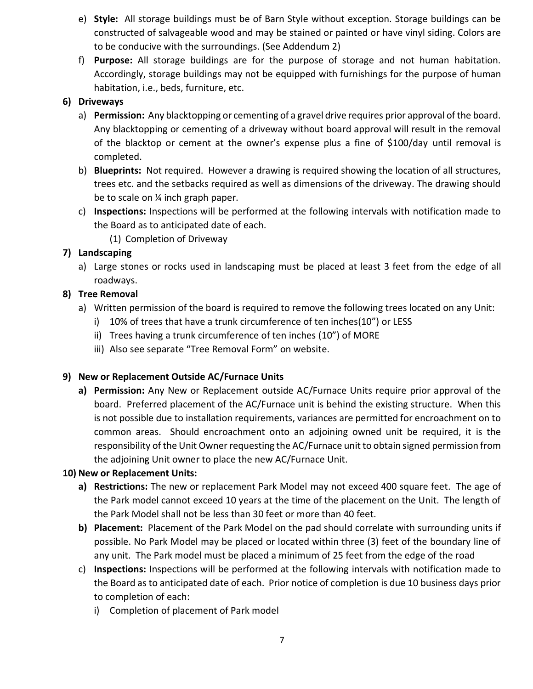- e) **Style:** All storage buildings must be of Barn Style without exception. Storage buildings can be constructed of salvageable wood and may be stained or painted or have vinyl siding. Colors are to be conducive with the surroundings. (See Addendum 2)
- f) **Purpose:** All storage buildings are for the purpose of storage and not human habitation. Accordingly, storage buildings may not be equipped with furnishings for the purpose of human habitation, i.e., beds, furniture, etc.

#### **6) Driveways**

- a) **Permission:** Any blacktopping or cementing of a gravel drive requires prior approval of the board. Any blacktopping or cementing of a driveway without board approval will result in the removal of the blacktop or cement at the owner's expense plus a fine of \$100/day until removal is completed.
- b) **Blueprints:** Not required. However a drawing is required showing the location of all structures, trees etc. and the setbacks required as well as dimensions of the driveway. The drawing should be to scale on ¼ inch graph paper.
- c) **Inspections:** Inspections will be performed at the following intervals with notification made to the Board as to anticipated date of each.
	- (1) Completion of Driveway

#### **7) Landscaping**

a) Large stones or rocks used in landscaping must be placed at least 3 feet from the edge of all roadways.

#### **8) Tree Removal**

- a) Written permission of the board is required to remove the following trees located on any Unit:
	- i) 10% of trees that have a trunk circumference of ten inches(10") or LESS
	- ii) Trees having a trunk circumference of ten inches (10") of MORE
	- iii) Also see separate "Tree Removal Form" on website.

#### **9) New or Replacement Outside AC/Furnace Units**

**a) Permission:** Any New or Replacement outside AC/Furnace Units require prior approval of the board. Preferred placement of the AC/Furnace unit is behind the existing structure. When this is not possible due to installation requirements, variances are permitted for encroachment on to common areas. Should encroachment onto an adjoining owned unit be required, it is the responsibility of the Unit Owner requesting the AC/Furnace unit to obtain signed permission from the adjoining Unit owner to place the new AC/Furnace Unit.

#### **10) New or Replacement Units:**

- **a) Restrictions:** The new or replacement Park Model may not exceed 400 square feet. The age of the Park model cannot exceed 10 years at the time of the placement on the Unit. The length of the Park Model shall not be less than 30 feet or more than 40 feet.
- **b) Placement:** Placement of the Park Model on the pad should correlate with surrounding units if possible. No Park Model may be placed or located within three (3) feet of the boundary line of any unit. The Park model must be placed a minimum of 25 feet from the edge of the road
- c) **Inspections:** Inspections will be performed at the following intervals with notification made to the Board as to anticipated date of each. Prior notice of completion is due 10 business days prior to completion of each:
	- i) Completion of placement of Park model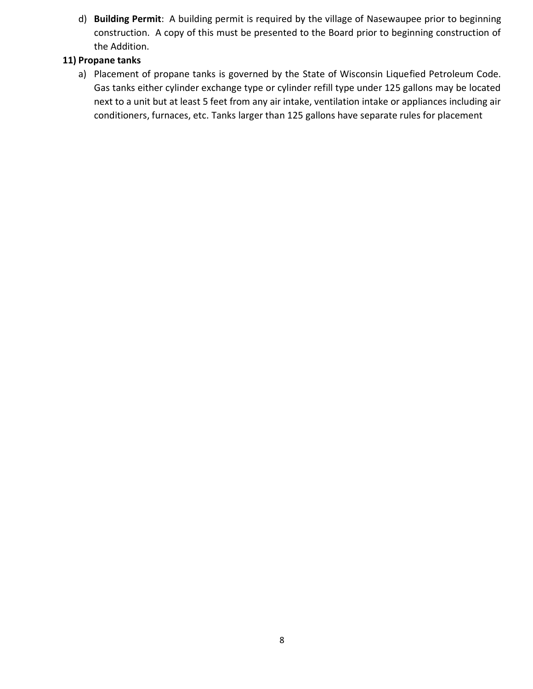d) **Building Permit**: A building permit is required by the village of Nasewaupee prior to beginning construction. A copy of this must be presented to the Board prior to beginning construction of the Addition.

#### **11) Propane tanks**

a) Placement of propane tanks is governed by the State of Wisconsin Liquefied Petroleum Code. Gas tanks either cylinder exchange type or cylinder refill type under 125 gallons may be located next to a unit but at least 5 feet from any air intake, ventilation intake or appliances including air conditioners, furnaces, etc. Tanks larger than 125 gallons have separate rules for placement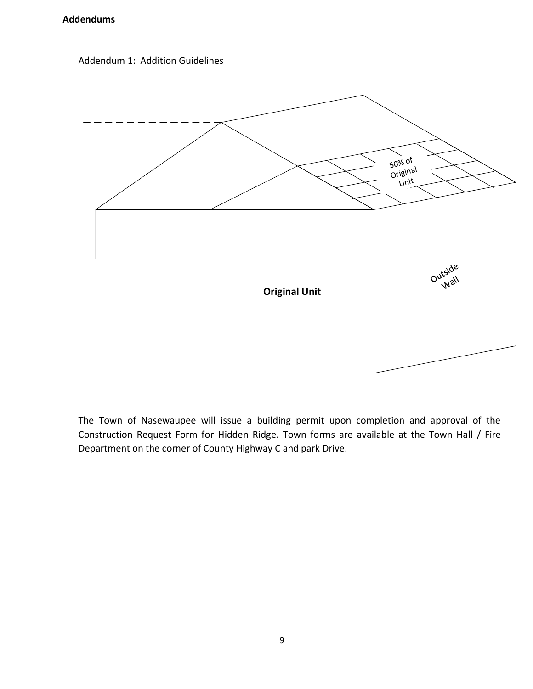#### **Addendums**





The Town of Nasewaupee will issue a building permit upon completion and approval of the Construction Request Form for Hidden Ridge. Town forms are available at the Town Hall / Fire Department on the corner of County Highway C and park Drive.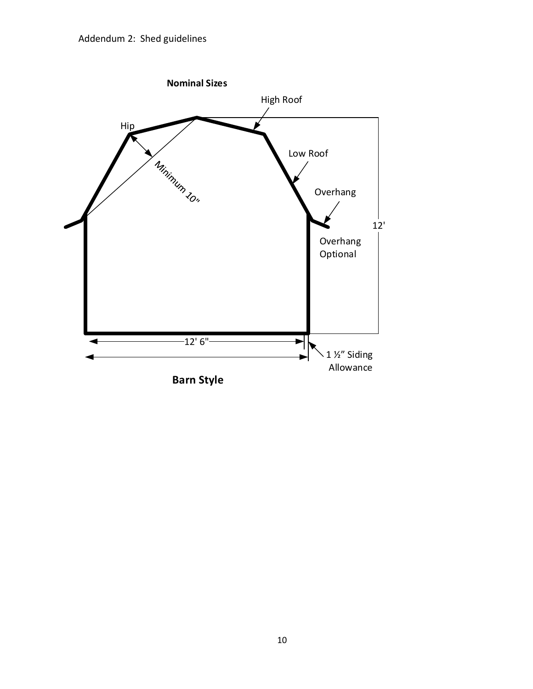